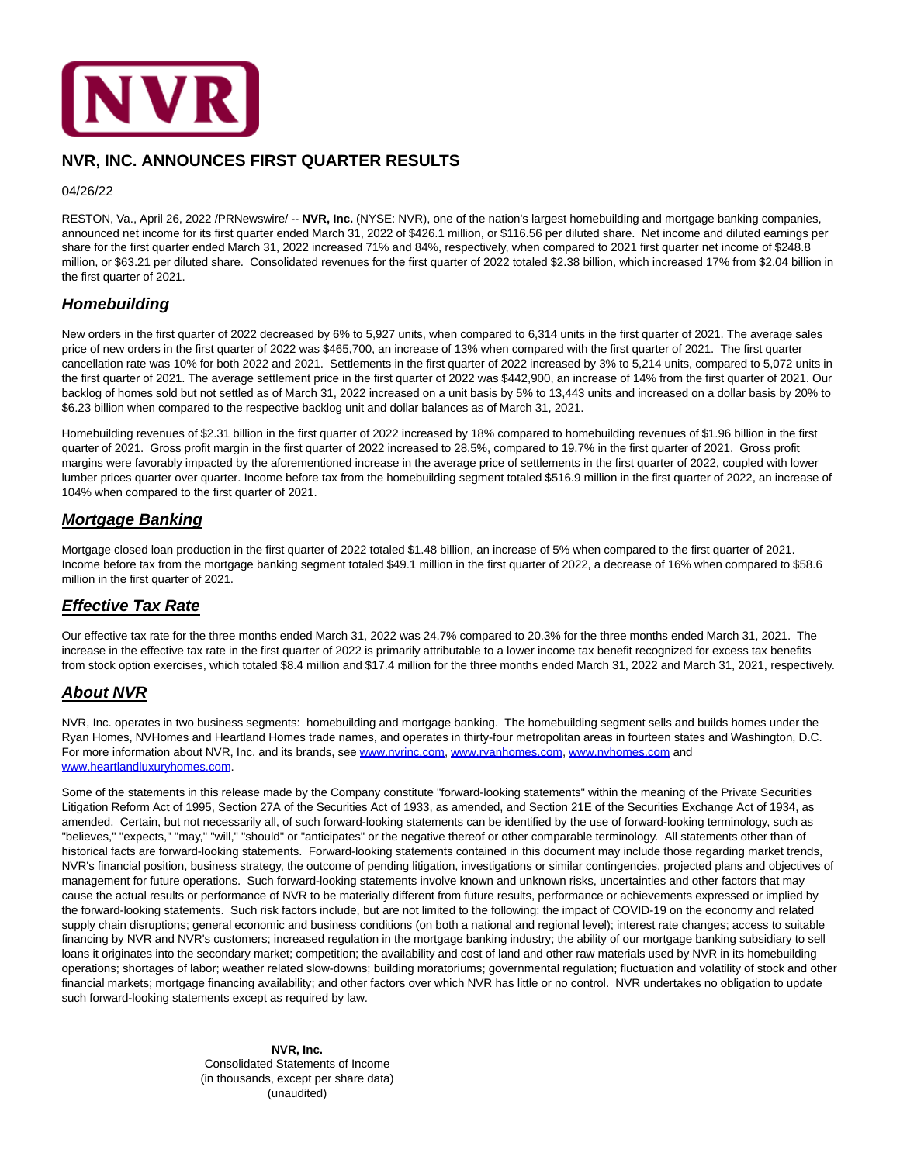

# **NVR, INC. ANNOUNCES FIRST QUARTER RESULTS**

### 04/26/22

RESTON, Va., April 26, 2022 /PRNewswire/ -- **NVR, Inc.** (NYSE: NVR), one of the nation's largest homebuilding and mortgage banking companies, announced net income for its first quarter ended March 31, 2022 of \$426.1 million, or \$116.56 per diluted share. Net income and diluted earnings per share for the first quarter ended March 31, 2022 increased 71% and 84%, respectively, when compared to 2021 first quarter net income of \$248.8 million, or \$63.21 per diluted share. Consolidated revenues for the first quarter of 2022 totaled \$2.38 billion, which increased 17% from \$2.04 billion in the first quarter of 2021.

# **Homebuilding**

New orders in the first quarter of 2022 decreased by 6% to 5,927 units, when compared to 6,314 units in the first quarter of 2021. The average sales price of new orders in the first quarter of 2022 was \$465,700, an increase of 13% when compared with the first quarter of 2021. The first quarter cancellation rate was 10% for both 2022 and 2021. Settlements in the first quarter of 2022 increased by 3% to 5,214 units, compared to 5,072 units in the first quarter of 2021. The average settlement price in the first quarter of 2022 was \$442,900, an increase of 14% from the first quarter of 2021. Our backlog of homes sold but not settled as of March 31, 2022 increased on a unit basis by 5% to 13,443 units and increased on a dollar basis by 20% to \$6.23 billion when compared to the respective backlog unit and dollar balances as of March 31, 2021.

Homebuilding revenues of \$2.31 billion in the first quarter of 2022 increased by 18% compared to homebuilding revenues of \$1.96 billion in the first quarter of 2021. Gross profit margin in the first quarter of 2022 increased to 28.5%, compared to 19.7% in the first quarter of 2021. Gross profit margins were favorably impacted by the aforementioned increase in the average price of settlements in the first quarter of 2022, coupled with lower lumber prices quarter over quarter. Income before tax from the homebuilding segment totaled \$516.9 million in the first quarter of 2022, an increase of 104% when compared to the first quarter of 2021.

# **Mortgage Banking**

Mortgage closed loan production in the first quarter of 2022 totaled \$1.48 billion, an increase of 5% when compared to the first quarter of 2021. Income before tax from the mortgage banking segment totaled \$49.1 million in the first quarter of 2022, a decrease of 16% when compared to \$58.6 million in the first quarter of 2021.

# **Effective Tax Rate**

Our effective tax rate for the three months ended March 31, 2022 was 24.7% compared to 20.3% for the three months ended March 31, 2021. The increase in the effective tax rate in the first quarter of 2022 is primarily attributable to a lower income tax benefit recognized for excess tax benefits from stock option exercises, which totaled \$8.4 million and \$17.4 million for the three months ended March 31, 2022 and March 31, 2021, respectively.

## **About NVR**

NVR, Inc. operates in two business segments: homebuilding and mortgage banking. The homebuilding segment sells and builds homes under the Ryan Homes, NVHomes and Heartland Homes trade names, and operates in thirty-four metropolitan areas in fourteen states and Washington, D.C. For more information about NVR, Inc. and its brands, see [www.nvrinc.com,](http://www.nvrinc.com/) [www.ryanhomes.com,](http://www.ryanhomes.com/) [www.nvhomes.com a](http://www.nvhomes.com/)nd [www.heartlandluxuryhomes.com.](http://www.heartlandluxuryhomes.com/)

Some of the statements in this release made by the Company constitute "forward-looking statements" within the meaning of the Private Securities Litigation Reform Act of 1995, Section 27A of the Securities Act of 1933, as amended, and Section 21E of the Securities Exchange Act of 1934, as amended. Certain, but not necessarily all, of such forward-looking statements can be identified by the use of forward-looking terminology, such as "believes," "expects," "may," "will," "should" or "anticipates" or the negative thereof or other comparable terminology. All statements other than of historical facts are forward-looking statements. Forward-looking statements contained in this document may include those regarding market trends, NVR's financial position, business strategy, the outcome of pending litigation, investigations or similar contingencies, projected plans and objectives of management for future operations. Such forward-looking statements involve known and unknown risks, uncertainties and other factors that may cause the actual results or performance of NVR to be materially different from future results, performance or achievements expressed or implied by the forward-looking statements. Such risk factors include, but are not limited to the following: the impact of COVID-19 on the economy and related supply chain disruptions; general economic and business conditions (on both a national and regional level); interest rate changes; access to suitable financing by NVR and NVR's customers; increased regulation in the mortgage banking industry; the ability of our mortgage banking subsidiary to sell loans it originates into the secondary market; competition; the availability and cost of land and other raw materials used by NVR in its homebuilding operations; shortages of labor; weather related slow-downs; building moratoriums; governmental regulation; fluctuation and volatility of stock and other financial markets; mortgage financing availability; and other factors over which NVR has little or no control. NVR undertakes no obligation to update such forward-looking statements except as required by law.

> **NVR, Inc.** Consolidated Statements of Income (in thousands, except per share data) (unaudited)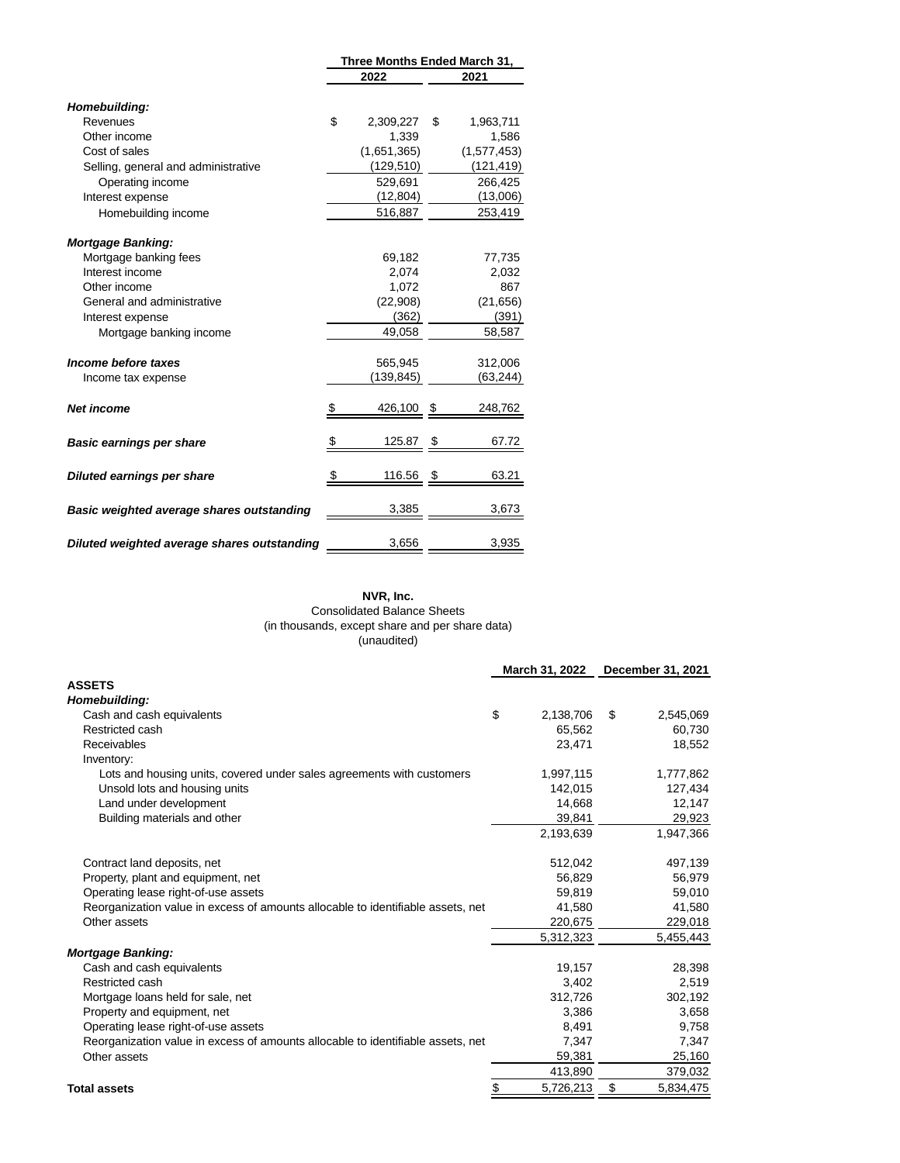|                                                   | Three Months Ended March 31, |             |    |               |  |
|---------------------------------------------------|------------------------------|-------------|----|---------------|--|
|                                                   | 2022                         |             |    | 2021          |  |
| Homebuilding:                                     |                              |             |    |               |  |
| Revenues                                          | \$                           | 2,309,227   | \$ | 1,963,711     |  |
| Other income                                      |                              | 1,339       |    | 1,586         |  |
| Cost of sales                                     |                              | (1,651,365) |    | (1, 577, 453) |  |
| Selling, general and administrative               |                              | (129, 510)  |    | (121, 419)    |  |
| Operating income                                  |                              | 529,691     |    | 266,425       |  |
| Interest expense                                  |                              | (12, 804)   |    | (13,006)      |  |
| Homebuilding income                               |                              | 516,887     |    | 253,419       |  |
|                                                   |                              |             |    |               |  |
| <b>Mortgage Banking:</b><br>Mortgage banking fees |                              | 69,182      |    | 77,735        |  |
| Interest income                                   |                              | 2,074       |    | 2,032         |  |
| Other income                                      |                              | 1.072       |    | 867           |  |
| General and administrative                        |                              | (22,908)    |    | (21, 656)     |  |
| Interest expense                                  |                              | (362)       |    | (391)         |  |
| Mortgage banking income                           |                              | 49,058      |    | 58,587        |  |
|                                                   |                              |             |    |               |  |
| Income before taxes                               |                              | 565,945     |    | 312,006       |  |
| Income tax expense                                |                              | (139,845)   |    | (63, 244)     |  |
|                                                   | \$                           |             |    |               |  |
| <b>Net income</b>                                 |                              | 426,100 \$  |    | 248,762       |  |
| <b>Basic earnings per share</b>                   | \$                           | 125.87 \$   |    | 67.72         |  |
|                                                   |                              |             |    |               |  |
| Diluted earnings per share                        |                              | 116.56 \$   |    | 63.21         |  |
| Basic weighted average shares outstanding         |                              | 3,385       |    | 3,673         |  |
|                                                   |                              |             |    |               |  |
| Diluted weighted average shares outstanding       |                              | 3,656       |    | 3,935         |  |

## **NVR, Inc.**

Consolidated Balance Sheets (in thousands, except share and per share data) (unaudited)

|                                                                                 | March 31, 2022  | December 31, 2021 |
|---------------------------------------------------------------------------------|-----------------|-------------------|
| <b>ASSETS</b>                                                                   |                 |                   |
| Homebuilding:                                                                   |                 |                   |
| Cash and cash equivalents                                                       | \$<br>2,138,706 | \$<br>2,545,069   |
| Restricted cash                                                                 | 65,562          | 60,730            |
| Receivables                                                                     | 23,471          | 18,552            |
| Inventory:                                                                      |                 |                   |
| Lots and housing units, covered under sales agreements with customers           | 1,997,115       | 1,777,862         |
| Unsold lots and housing units                                                   | 142,015         | 127,434           |
| Land under development                                                          | 14,668          | 12,147            |
| Building materials and other                                                    | 39,841          | 29,923            |
|                                                                                 | 2,193,639       | 1,947,366         |
| Contract land deposits, net                                                     | 512,042         | 497,139           |
| Property, plant and equipment, net                                              | 56,829          | 56,979            |
| Operating lease right-of-use assets                                             | 59,819          | 59,010            |
| Reorganization value in excess of amounts allocable to identifiable assets, net | 41,580          | 41,580            |
| Other assets                                                                    | 220,675         | 229,018           |
|                                                                                 | 5,312,323       | 5,455,443         |
| <b>Mortgage Banking:</b>                                                        |                 |                   |
| Cash and cash equivalents                                                       | 19,157          | 28,398            |
| Restricted cash                                                                 | 3,402           | 2,519             |
| Mortgage loans held for sale, net                                               | 312,726         | 302,192           |
| Property and equipment, net                                                     | 3,386           | 3,658             |
| Operating lease right-of-use assets                                             | 8,491           | 9,758             |
| Reorganization value in excess of amounts allocable to identifiable assets, net | 7,347           | 7,347             |
| Other assets                                                                    | 59,381          | 25,160            |
|                                                                                 | 413,890         | 379,032           |
| <b>Total assets</b>                                                             | \$<br>5,726,213 | \$<br>5,834,475   |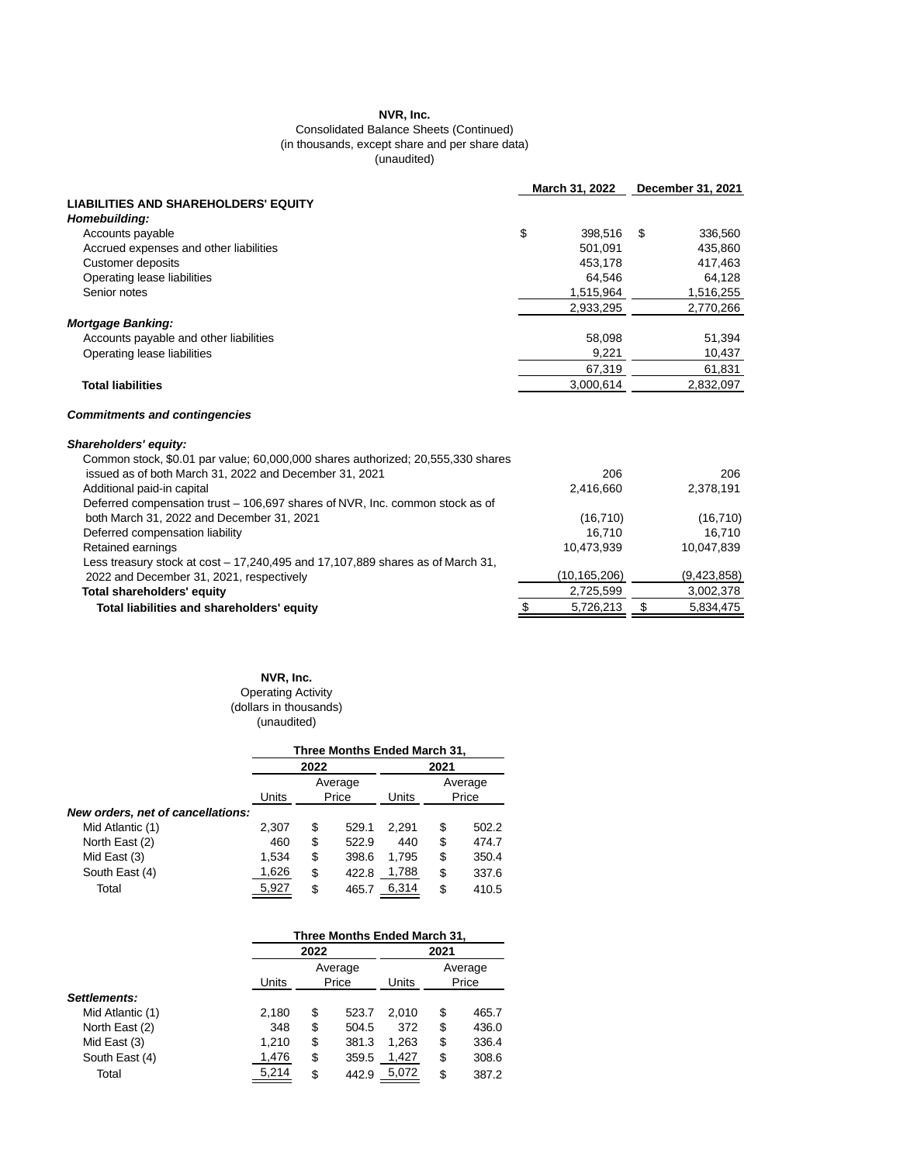## **NVR, Inc.**

#### Consolidated Balance Sheets (Continued) (in thousands, except share and per share data) (unaudited)

|                                                                                    | March 31, 2022 |     | December 31, 2021 |
|------------------------------------------------------------------------------------|----------------|-----|-------------------|
| <b>LIABILITIES AND SHAREHOLDERS' EQUITY</b>                                        |                |     |                   |
| Homebuilding:                                                                      |                |     |                   |
| Accounts payable                                                                   | \$<br>398,516  | \$. | 336,560           |
| Accrued expenses and other liabilities                                             | 501,091        |     | 435,860           |
| <b>Customer deposits</b>                                                           | 453,178        |     | 417,463           |
| Operating lease liabilities                                                        | 64,546         |     | 64,128            |
| Senior notes                                                                       | 1,515,964      |     | 1,516,255         |
|                                                                                    | 2,933,295      |     | 2,770,266         |
| <b>Mortgage Banking:</b>                                                           |                |     |                   |
| Accounts payable and other liabilities                                             | 58,098         |     | 51,394            |
| Operating lease liabilities                                                        | 9,221          |     | 10,437            |
|                                                                                    | 67,319         |     | 61,831            |
| <b>Total liabilities</b>                                                           | 3,000,614      |     | 2,832,097         |
| <b>Commitments and contingencies</b>                                               |                |     |                   |
| Shareholders' equity:                                                              |                |     |                   |
| Common stock, \$0.01 par value; 60,000,000 shares authorized; 20,555,330 shares    |                |     |                   |
| issued as of both March 31, 2022 and December 31, 2021                             | 206            |     | 206               |
| Additional paid-in capital                                                         | 2,416,660      |     | 2,378,191         |
| Deferred compensation trust - 106,697 shares of NVR, Inc. common stock as of       |                |     |                   |
| both March 31, 2022 and December 31, 2021                                          | (16, 710)      |     | (16, 710)         |
| Deferred compensation liability                                                    | 16.710         |     | 16,710            |
| Retained earnings                                                                  | 10,473,939     |     | 10,047,839        |
| Less treasury stock at $cost - 17,240,495$ and $17,107,889$ shares as of March 31, |                |     |                   |
| 2022 and December 31, 2021, respectively                                           | (10,165,206)   |     | (9,423,858)       |
| Total shareholders' equity                                                         | 2,725,599      |     | 3,002,378         |

 **Total shareholders' equity** 2,725,599 3,002,378  **Total liabilities and shareholders' equity** 

## **NVR, Inc.**

#### Operating Activity (dollars in thousands) (unaudited)

|                                   | Three Months Ended March 31, |                  |       |       |    |                  |
|-----------------------------------|------------------------------|------------------|-------|-------|----|------------------|
|                                   | 2022                         |                  |       | 2021  |    |                  |
|                                   | Units                        | Average<br>Price |       |       |    | Average<br>Price |
| New orders, net of cancellations: |                              |                  |       | Units |    |                  |
| Mid Atlantic (1)                  | 2,307                        | \$               | 529.1 | 2.291 | \$ | 502.2            |
| North East (2)                    | 460                          | \$               | 522.9 | 440   | \$ | 474.7            |
| Mid East (3)                      | 1,534                        | \$               | 398.6 | 1.795 | \$ | 350.4            |
| South East (4)                    | 1,626                        | \$               | 422.8 | 1,788 | \$ | 337.6            |
| Total                             | 5,927                        | \$               | 465.7 | 6,314 | \$ | 410.5            |

|                  | Three Months Ended March 31, |                  |       |       |    |                  |  |
|------------------|------------------------------|------------------|-------|-------|----|------------------|--|
|                  | 2022                         |                  |       | 2021  |    |                  |  |
|                  | Units                        | Average<br>Price |       | Units |    | Average<br>Price |  |
| Settlements:     |                              |                  |       |       |    |                  |  |
| Mid Atlantic (1) | 2,180                        | \$               | 523.7 | 2.010 | S  | 465.7            |  |
| North East (2)   | 348                          | \$               | 504.5 | 372   | \$ | 436.0            |  |
| Mid East (3)     | 1,210                        | \$               | 381.3 | 1.263 | \$ | 336.4            |  |
| South East (4)   | 1,476                        | \$               | 359.5 | 1,427 | \$ | 308.6            |  |
| Total            | 5,214                        | \$               | 442.9 | 5,072 | \$ | 387.2            |  |